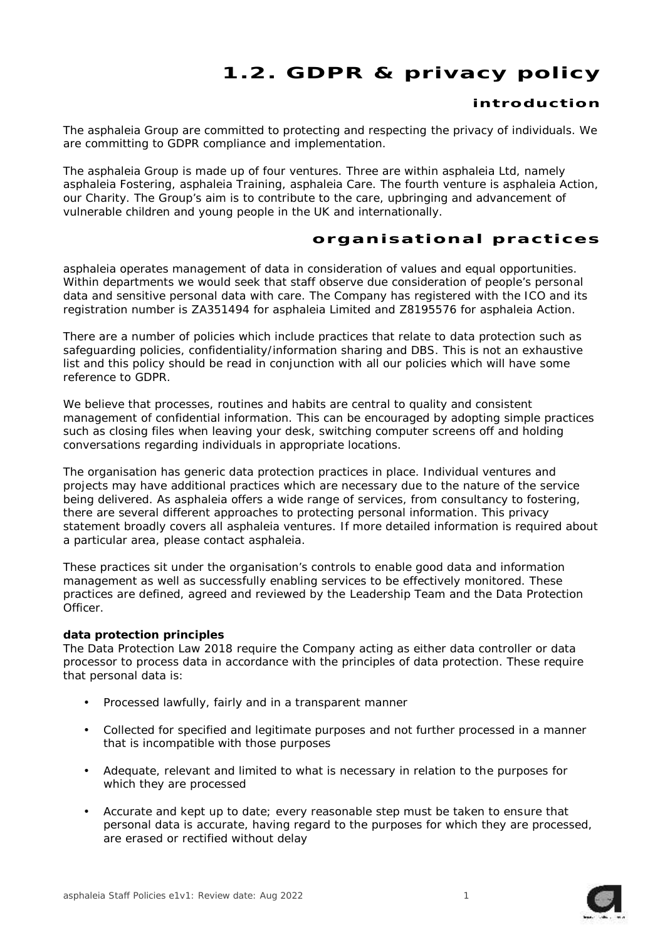# **1.2. GDPR & privacy policy**

# **introduction**

The asphaleia Group are committed to protecting and respecting the privacy of individuals. We are committing to GDPR compliance and implementation.

The asphaleia Group is made up of four ventures. Three are within asphaleia Ltd, namely asphaleia Fostering, asphaleia Training, asphaleia Care. The fourth venture is asphaleia Action, our Charity. The Group's aim is to contribute to the care, upbringing and advancement of vulnerable children and young people in the UK and internationally.

# **organ isat ional pract ices**

asphaleia operates management of data in consideration of values and equal opportunities. Within departments we would seek that staff observe due consideration of people's personal data and sensitive personal data with care. The Company has registered with the ICO and its registration number is ZA351494 for asphaleia Limited and Z8195576 for asphaleia Action.

There are a number of policies which include practices that relate to data protection such as safeguarding policies, confidentiality/information sharing and DBS. This is not an exhaustive list and this policy should be read in conjunction with all our policies which will have some reference to GDPR.

We believe that processes, routines and habits are central to quality and consistent management of confidential information. This can be encouraged by adopting simple practices such as closing files when leaving your desk, switching computer screens off and holding conversations regarding individuals in appropriate locations.

The organisation has generic data protection practices in place. Individual ventures and projects may have additional practices which are necessary due to the nature of the service being delivered. As asphaleia offers a wide range of services, from consultancy to fostering, there are several different approaches to protecting personal information. This privacy statement broadly covers all asphaleia ventures. If more detailed information is required about a particular area, please contact asphaleia.

These practices sit under the organisation's controls to enable good data and information management as well as successfully enabling services to be effectively monitored. These practices are defined, agreed and reviewed by the Leadership Team and the Data Protection Officer.

#### *data protection principles*

The Data Protection Law 2018 require the Company acting as either data controller or data processor to process data in accordance with the principles of data protection. These require that personal data is:

- Processed lawfully, fairly and in a transparent manner
- Collected for specified and legitimate purposes and not further processed in a manner that is incompatible with those purposes
- Adequate, relevant and limited to what is necessary in relation to the purposes for which they are processed
- Accurate and kept up to date; every reasonable step must be taken to ensure that personal data is accurate, having regard to the purposes for which they are processed, are erased or rectified without delay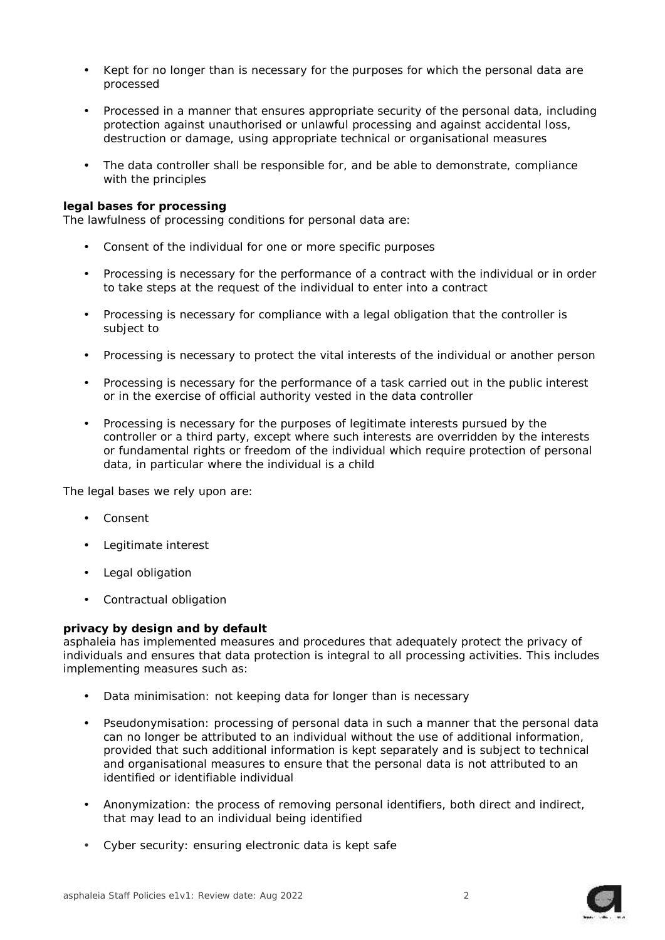- Kept for no longer than is necessary for the purposes for which the personal data are processed
- Processed in a manner that ensures appropriate security of the personal data, including protection against unauthorised or unlawful processing and against accidental loss, destruction or damage, using appropriate technical or organisational measures
- The data controller shall be responsible for, and be able to demonstrate, compliance with the principles

*legal bases for processing*

The lawfulness of processing conditions for personal data are:

- Consent of the individual for one or more specific purposes
- Processing is necessary for the performance of a contract with the individual or in order to take steps at the request of the individual to enter into a contract
- Processing is necessary for compliance with a legal obligation that the controller is subject to
- Processing is necessary to protect the vital interests of the individual or another person
- Processing is necessary for the performance of a task carried out in the public interest or in the exercise of official authority vested in the data controller
- Processing is necessary for the purposes of legitimate interests pursued by the controller or a third party, except where such interests are overridden by the interests or fundamental rights or freedom of the individual which require protection of personal data, in particular where the individual is a child

The legal bases we rely upon are:

- Consent
- Legitimate interest
- Legal obligation
- Contractual obligation

# *privacy by design and by default*

asphaleia has implemented measures and procedures that adequately protect the privacy of individuals and ensures that data protection is integral to all processing activities. This includes implementing measures such as:

- Data minimisation: not keeping data for longer than is necessary
- Pseudonymisation: processing of personal data in such a manner that the personal data can no longer be attributed to an individual without the use of additional information, provided that such additional information is kept separately and is subject to technical and organisational measures to ensure that the personal data is not attributed to an identified or identifiable individual
- Anonymization: the process of removing personal identifiers, both direct and indirect, that may lead to an individual being identified
- Cyber security: ensuring electronic data is kept safe

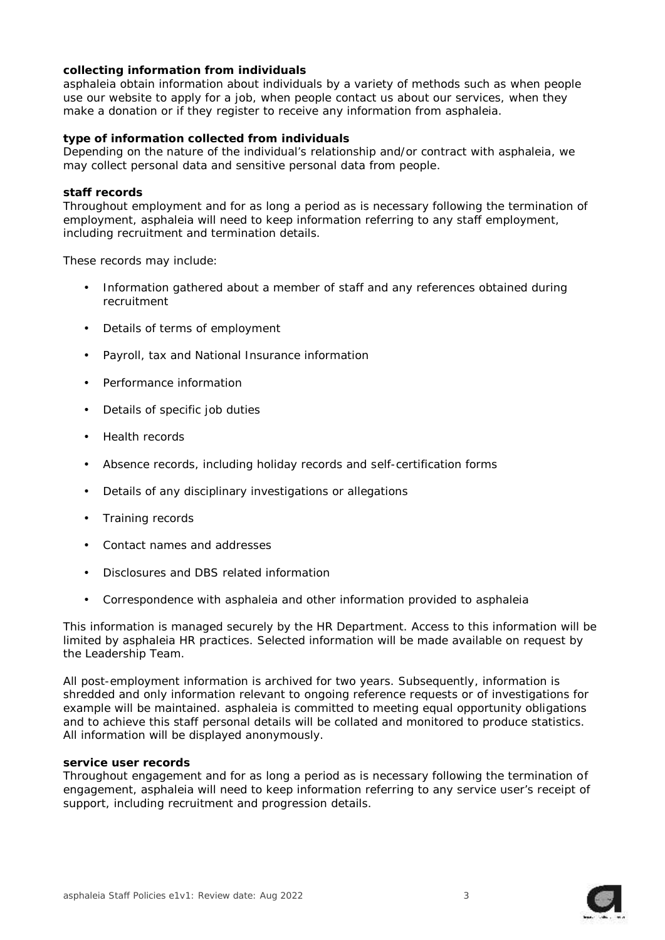*collecting information from individuals*

asphaleia obtain information about individuals by a variety of methods such as when people use our website to apply for a job, when people contact us about our services, when they make a donation or if they register to receive any information from asphaleia.

*type of information collected from individuals*

Depending on the nature of the individual's relationship and/or contract with asphaleia, we may collect personal data and sensitive personal data from people.

# *staff records*

Throughout employment and for as long a period as is necessary following the termination of employment, asphaleia will need to keep information referring to any staff employment, including recruitment and termination details.

These records may include:

- Information gathered about a member of staff and any references obtained during recruitment
- Details of terms of employment
- Payroll, tax and National Insurance information
- Performance information
- Details of specific job duties
- Health records
- Absence records, including holiday records and self-certification forms
- Details of any disciplinary investigations or allegations
- ) Training records
- Contact names and addresses
- Disclosures and DBS related information
- Correspondence with asphaleia and other information provided to asphaleia

This information is managed securely by the HR Department. Access to this information will be limited by asphaleia HR practices. Selected information will be made available on request by the Leadership Team.

All post-employment information is archived for two years. Subsequently, information is shredded and only information relevant to ongoing reference requests or of investigations for example will be maintained. asphaleia is committed to meeting equal opportunity obligations and to achieve this staff personal details will be collated and monitored to produce statistics. All information will be displayed anonymously.

# *service user records*

Throughout engagement and for as long a period as is necessary following the termination of engagement, asphaleia will need to keep information referring to any service user's receipt of support, including recruitment and progression details.

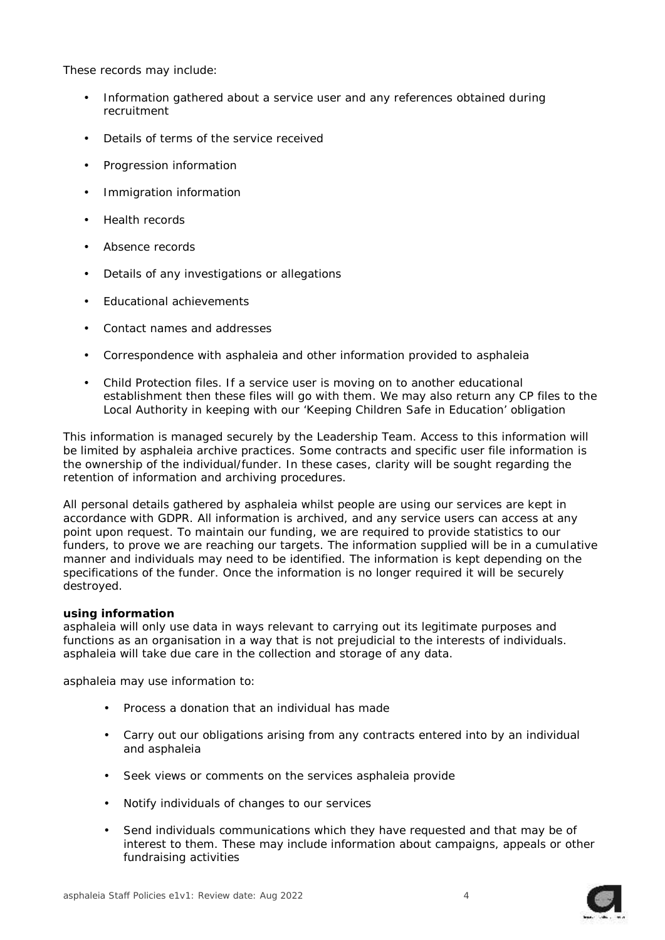These records may include:

- Information gathered about a service user and any references obtained during recruitment
- Details of terms of the service received
- Progression information
- Immigration information
- Health records
- Absence records
- Details of any investigations or allegations
- Educational achievements
- Contact names and addresses
- Correspondence with asphaleia and other information provided to asphaleia
- Child Protection files. If a service user is moving on to another educational establishment then these files will go with them. We may also return any CP files to the Local Authority in keeping with our 'Keeping Children Safe in Education' obligation

This information is managed securely by the Leadership Team. Access to this information will be limited by asphaleia archive practices. Some contracts and specific user file information is the ownership of the individual/funder. In these cases, clarity will be sought regarding the retention of information and archiving procedures.

All personal details gathered by asphaleia whilst people are using our services are kept in accordance with GDPR. All information is archived, and any service users can access at any point upon request. To maintain our funding, we are required to provide statistics to our funders, to prove we are reaching our targets. The information supplied will be in a cumulative manner and individuals may need to be identified. The information is kept depending on the specifications of the funder. Once the information is no longer required it will be securely destroyed.

# *using information*

asphaleia will only use data in ways relevant to carrying out its legitimate purposes and functions as an organisation in a way that is not prejudicial to the interests of individuals. asphaleia will take due care in the collection and storage of any data.

asphaleia may use information to:

- Process a donation that an individual has made
- Carry out our obligations arising from any contracts entered into by an individual and asphaleia
- Seek views or comments on the services asphaleia provide
- Notify individuals of changes to our services
- Send individuals communications which they have requested and that may be of interest to them. These may include information about campaigns, appeals or other fundraising activities

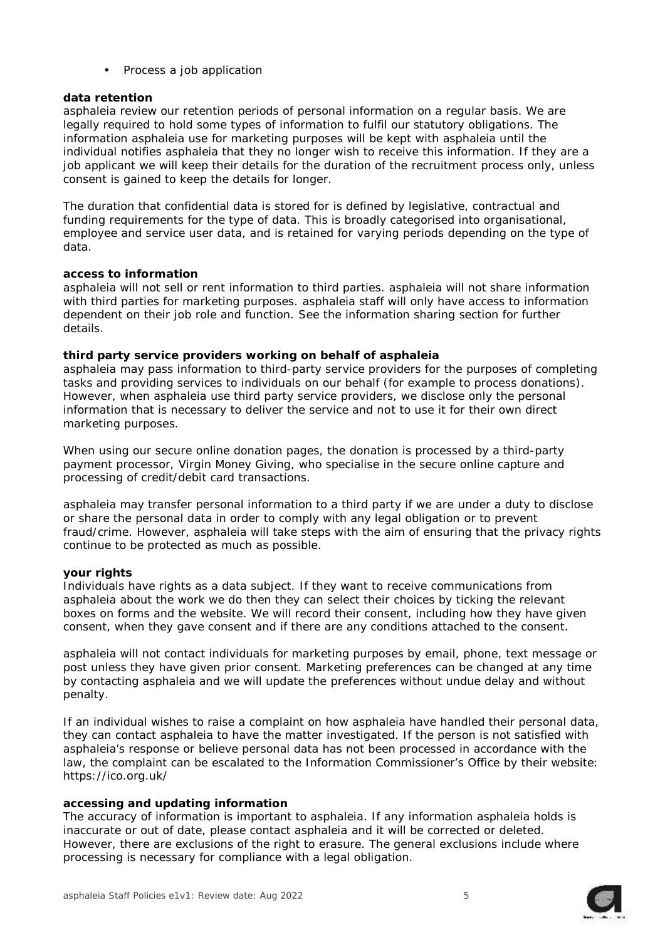# Process a job application

# *data retention*

asphaleia review our retention periods of personal information on a regular basis. We are legally required to hold some types of information to fulfil our statutory obligations. The information asphaleia use for marketing purposes will be kept with asphaleia until the individual notifies asphaleia that they no longer wish to receive this information. If they are a job applicant we will keep their details for the duration of the recruitment process only, unless consent is gained to keep the details for longer.

The duration that confidential data is stored for is defined by legislative, contractual and funding requirements for the type of data. This is broadly categorised into organisational, employee and service user data, and is retained for varying periods depending on the type of data.

#### *access to information*

asphaleia will not sell or rent information to third parties. asphaleia will not share information with third parties for marketing purposes. asphaleia staff will only have access to information dependent on their job role and function. See the information sharing section for further details.

#### *third party service providers working on behalf of asphaleia*

asphaleia may pass information to third-party service providers for the purposes of completing tasks and providing services to individuals on our behalf (for example to process donations). However, when asphaleia use third party service providers, we disclose only the personal information that is necessary to deliver the service and not to use it for their own direct marketing purposes.

When using our secure online donation pages, the donation is processed by a third-party payment processor, Virgin Money Giving, who specialise in the secure online capture and processing of credit/debit card transactions.

asphaleia may transfer personal information to a third party if we are under a duty to disclose or share the personal data in order to comply with any legal obligation or to prevent fraud/crime. However, asphaleia will take steps with the aim of ensuring that the privacy rights continue to be protected as much as possible.

# *your rights*

Individuals have rights as a data subject. If they want to receive communications from asphaleia about the work we do then they can select their choices by ticking the relevant boxes on forms and the website. We will record their consent, including how they have given consent, when they gave consent and if there are any conditions attached to the consent.

asphaleia will not contact individuals for marketing purposes by email, phone, text message or post unless they have given prior consent. Marketing preferences can be changed at any time by contacting asphaleia and we will update the preferences without undue delay and without penalty.

If an individual wishes to raise a complaint on how asphaleia have handled their personal data, they can contact asphaleia to have the matter investigated. If the person is not satisfied with asphaleia's response or believe personal data has not been processed in accordance with the law, the complaint can be escalated to the Information Commissioner's Office by their website: https://ico.org.uk/

# *accessing and updating information*

The accuracy of information is important to asphaleia. If any information asphaleia holds is inaccurate or out of date, please contact asphaleia and it will be corrected or deleted. However, there are exclusions of the right to erasure. The general exclusions include where processing is necessary for compliance with a legal obligation.

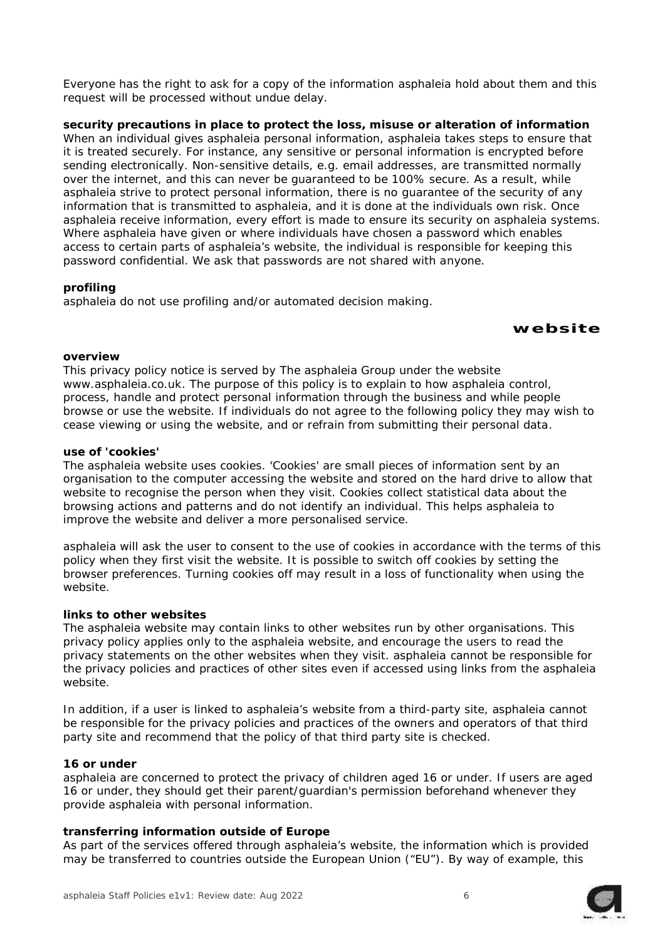Everyone has the right to ask for a copy of the information asphaleia hold about them and this request will be processed without undue delay.

*security precautions in place to protect the loss, misuse or alteration of information* When an individual gives asphaleia personal information, asphaleia takes steps to ensure that it is treated securely. For instance, any sensitive or personal information is encrypted before sending electronically. Non-sensitive details, e.g. email addresses, are transmitted normally over the internet, and this can never be guaranteed to be 100% secure. As a result, while asphaleia strive to protect personal information, there is no guarantee of the security of any information that is transmitted to asphaleia, and it is done at the individuals own risk. Once asphaleia receive information, every effort is made to ensure its security on asphaleia systems. Where asphaleia have given or where individuals have chosen a password which enables access to certain parts of asphaleia's website, the individual is responsible for keeping this password confidential. We ask that passwords are not shared with anyone.

#### *profiling*

asphaleia do not use profiling and/or automated decision making.

**website**

#### *overview*

This privacy policy notice is served by The asphaleia Group under the website www.asphaleia.co.uk. The purpose of this policy is to explain to how asphaleia control, process, handle and protect personal information through the business and while people browse or use the website. If individuals do not agree to the following policy they may wish to cease viewing or using the website, and or refrain from submitting their personal data.

#### *use of 'cookies'*

The asphaleia website uses cookies. 'Cookies' are small pieces of information sent by an organisation to the computer accessing the website and stored on the hard drive to allow that website to recognise the person when they visit. Cookies collect statistical data about the browsing actions and patterns and do not identify an individual. This helps asphaleia to improve the website and deliver a more personalised service.

asphaleia will ask the user to consent to the use of cookies in accordance with the terms of this policy when they first visit the website. It is possible to switch off cookies by setting the browser preferences. Turning cookies off may result in a loss of functionality when using the website.

# *links to other websites*

The asphaleia website may contain links to other websites run by other organisations. This privacy policy applies only to the asphaleia website, and encourage the users to read the privacy statements on the other websites when they visit. asphaleia cannot be responsible for the privacy policies and practices of other sites even if accessed using links from the asphaleia website.

In addition, if a user is linked to asphaleia's website from a third-party site, asphaleia cannot be responsible for the privacy policies and practices of the owners and operators of that third party site and recommend that the policy of that third party site is checked.

#### *16 or under*

asphaleia are concerned to protect the privacy of children aged 16 or under. If users are aged 16 or under, they should get their parent/guardian's permission beforehand whenever they provide asphaleia with personal information.

# *transferring information outside of Europe*

As part of the services offered through asphaleia's website, the information which is provided may be transferred to countries outside the European Union ("EU"). By way of example, this